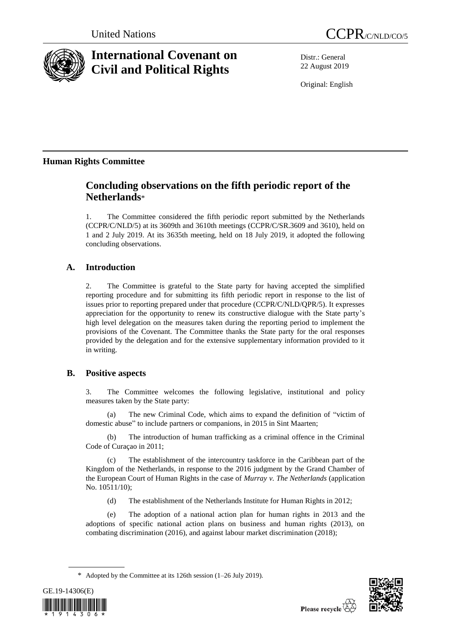

# **International Covenant on Civil and Political Rights**

Distr.: General 22 August 2019

Original: English

## **Human Rights Committee**

## **Concluding observations on the fifth periodic report of the Netherlands**\*

1. The Committee considered the fifth periodic report submitted by the Netherlands (CCPR/C/NLD/5) at its 3609th and 3610th meetings (CCPR/C/SR.3609 and 3610), held on 1 and 2 July 2019. At its 3635th meeting, held on 18 July 2019, it adopted the following concluding observations.

## **A. Introduction**

2. The Committee is grateful to the State party for having accepted the simplified reporting procedure and for submitting its fifth periodic report in response to the list of issues prior to reporting prepared under that procedure (CCPR/C/NLD/QPR/5). It expresses appreciation for the opportunity to renew its constructive dialogue with the State party's high level delegation on the measures taken during the reporting period to implement the provisions of the Covenant. The Committee thanks the State party for the oral responses provided by the delegation and for the extensive supplementary information provided to it in writing.

## **B. Positive aspects**

3. The Committee welcomes the following legislative, institutional and policy measures taken by the State party:

(a) The new Criminal Code, which aims to expand the definition of "victim of domestic abuse" to include partners or companions, in 2015 in Sint Maarten;

(b) The introduction of human trafficking as a criminal offence in the Criminal Code of Curaçao in 2011;

(c) The establishment of the intercountry taskforce in the Caribbean part of the Kingdom of the Netherlands, in response to the 2016 judgment by the Grand Chamber of the European Court of Human Rights in the case of *Murray v. The Netherlands* (application No. 10511/10);

(d) The establishment of the Netherlands Institute for Human Rights in 2012;

(e) The adoption of a national action plan for human rights in 2013 and the adoptions of specific national action plans on business and human rights (2013), on combating discrimination (2016), and against labour market discrimination (2018);

<sup>\*</sup> Adopted by the Committee at its 126th session (1–26 July 2019).



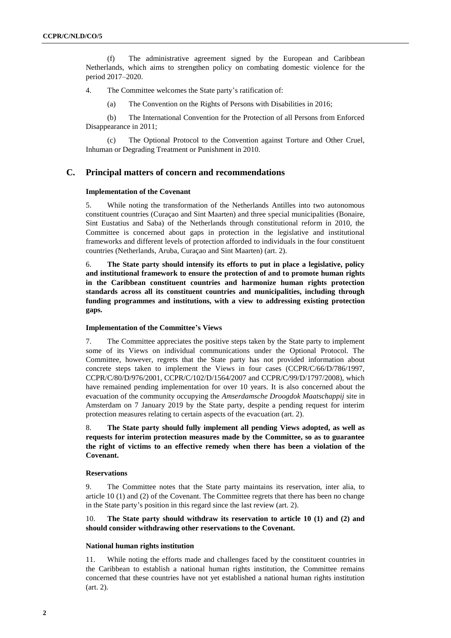(f) The administrative agreement signed by the European and Caribbean Netherlands, which aims to strengthen policy on combating domestic violence for the period 2017–2020.

4. The Committee welcomes the State party's ratification of:

(a) The Convention on the Rights of Persons with Disabilities in 2016;

(b) The International Convention for the Protection of all Persons from Enforced Disappearance in 2011;

(c) The Optional Protocol to the Convention against Torture and Other Cruel, Inhuman or Degrading Treatment or Punishment in 2010.

## **C. Principal matters of concern and recommendations**

#### **Implementation of the Covenant**

5. While noting the transformation of the Netherlands Antilles into two autonomous constituent countries (Curaçao and Sint Maarten) and three special municipalities (Bonaire, Sint Eustatius and Saba) of the Netherlands through constitutional reform in 2010, the Committee is concerned about gaps in protection in the legislative and institutional frameworks and different levels of protection afforded to individuals in the four constituent countries (Netherlands, Aruba, Curaçao and Sint Maarten) (art. 2).

6. **The State party should intensify its efforts to put in place a legislative, policy and institutional framework to ensure the protection of and to promote human rights in the Caribbean constituent countries and harmonize human rights protection standards across all its constituent countries and municipalities, including through funding programmes and institutions, with a view to addressing existing protection gaps.**

## **Implementation of the Committee's Views**

7. The Committee appreciates the positive steps taken by the State party to implement some of its Views on individual communications under the Optional Protocol. The Committee, however, regrets that the State party has not provided information about concrete steps taken to implement the Views in four cases (CCPR/C/66/D/786/1997, CCPR/C/80/D/976/2001, CCPR/C/102/D/1564/2007 and CCPR/C/99/D/1797/2008), which have remained pending implementation for over 10 years. It is also concerned about the evacuation of the community occupying the *Amserdamsche Droogdok Maatschappij* site in Amsterdam on 7 January 2019 by the State party, despite a pending request for interim protection measures relating to certain aspects of the evacuation (art. 2).

8. **The State party should fully implement all pending Views adopted, as well as requests for interim protection measures made by the Committee, so as to guarantee the right of victims to an effective remedy when there has been a violation of the Covenant.**

#### **Reservations**

9. The Committee notes that the State party maintains its reservation, inter alia, to article 10 (1) and (2) of the Covenant. The Committee regrets that there has been no change in the State party's position in this regard since the last review (art. 2).

10. **The State party should withdraw its reservation to article 10 (1) and (2) and should consider withdrawing other reservations to the Covenant.**

#### **National human rights institution**

11. While noting the efforts made and challenges faced by the constituent countries in the Caribbean to establish a national human rights institution, the Committee remains concerned that these countries have not yet established a national human rights institution (art. 2).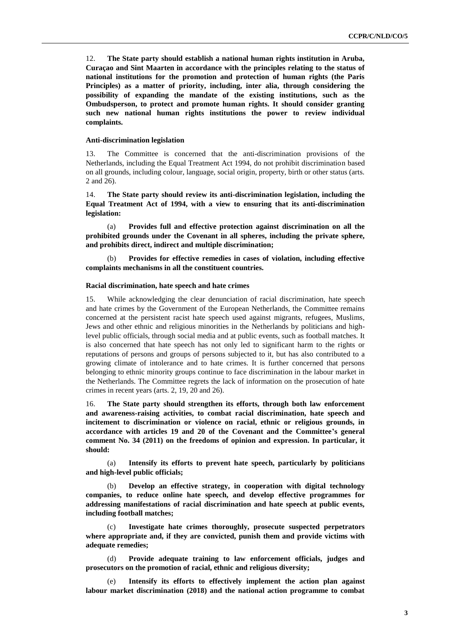12. **The State party should establish a national human rights institution in Aruba, Curaçao and Sint Maarten in accordance with the principles relating to the status of national institutions for the promotion and protection of human rights (the Paris Principles) as a matter of priority, including, inter alia, through considering the possibility of expanding the mandate of the existing institutions, such as the Ombudsperson, to protect and promote human rights. It should consider granting such new national human rights institutions the power to review individual complaints.**

#### **Anti-discrimination legislation**

13. The Committee is concerned that the anti-discrimination provisions of the Netherlands, including the Equal Treatment Act 1994, do not prohibit discrimination based on all grounds, including colour, language, social origin, property, birth or other status (arts. 2 and 26).

14. **The State party should review its anti-discrimination legislation, including the Equal Treatment Act of 1994, with a view to ensuring that its anti-discrimination legislation:**

(a) **Provides full and effective protection against discrimination on all the prohibited grounds under the Covenant in all spheres, including the private sphere, and prohibits direct, indirect and multiple discrimination;**

(b) **Provides for effective remedies in cases of violation, including effective complaints mechanisms in all the constituent countries.**

## **Racial discrimination, hate speech and hate crimes**

15. While acknowledging the clear denunciation of racial discrimination, hate speech and hate crimes by the Government of the European Netherlands, the Committee remains concerned at the persistent racist hate speech used against migrants, refugees, Muslims, Jews and other ethnic and religious minorities in the Netherlands by politicians and highlevel public officials, through social media and at public events, such as football matches. It is also concerned that hate speech has not only led to significant harm to the rights or reputations of persons and groups of persons subjected to it, but has also contributed to a growing climate of intolerance and to hate crimes. It is further concerned that persons belonging to ethnic minority groups continue to face discrimination in the labour market in the Netherlands. The Committee regrets the lack of information on the prosecution of hate crimes in recent years (arts. 2, 19, 20 and 26).

16. **The State party should strengthen its efforts, through both law enforcement and awareness-raising activities, to combat racial discrimination, hate speech and incitement to discrimination or violence on racial, ethnic or religious grounds, in accordance with articles 19 and 20 of the Covenant and the Committee's general comment No. 34 (2011) on the freedoms of opinion and expression. In particular, it should:** 

(a) **Intensify its efforts to prevent hate speech, particularly by politicians and high-level public officials;**

(b) **Develop an effective strategy, in cooperation with digital technology companies, to reduce online hate speech, and develop effective programmes for addressing manifestations of racial discrimination and hate speech at public events, including football matches;**

Investigate hate crimes thoroughly, prosecute suspected perpetrators **where appropriate and, if they are convicted, punish them and provide victims with adequate remedies;**

Provide adequate training to law enforcement officials, judges and **prosecutors on the promotion of racial, ethnic and religious diversity;**

(e) **Intensify its efforts to effectively implement the action plan against labour market discrimination (2018) and the national action programme to combat**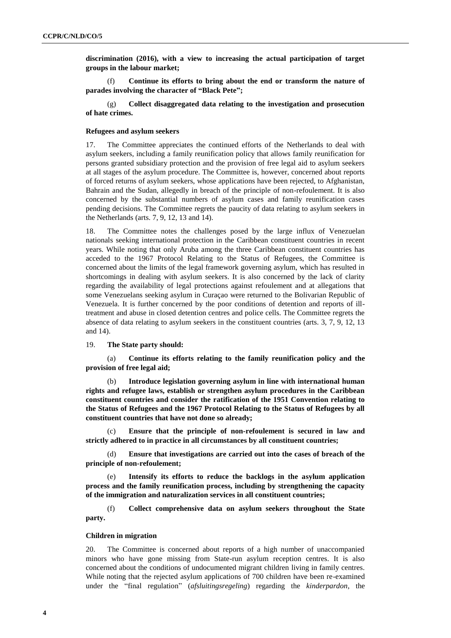**discrimination (2016), with a view to increasing the actual participation of target groups in the labour market;**

(f) **Continue its efforts to bring about the end or transform the nature of parades involving the character of "Black Pete";**

(g) **Collect disaggregated data relating to the investigation and prosecution of hate crimes.**

#### **Refugees and asylum seekers**

17. The Committee appreciates the continued efforts of the Netherlands to deal with asylum seekers, including a family reunification policy that allows family reunification for persons granted subsidiary protection and the provision of free legal aid to asylum seekers at all stages of the asylum procedure. The Committee is, however, concerned about reports of forced returns of asylum seekers, whose applications have been rejected, to Afghanistan, Bahrain and the Sudan, allegedly in breach of the principle of non-refoulement. It is also concerned by the substantial numbers of asylum cases and family reunification cases pending decisions. The Committee regrets the paucity of data relating to asylum seekers in the Netherlands (arts. 7, 9, 12, 13 and 14).

18. The Committee notes the challenges posed by the large influx of Venezuelan nationals seeking international protection in the Caribbean constituent countries in recent years. While noting that only Aruba among the three Caribbean constituent countries has acceded to the 1967 Protocol Relating to the Status of Refugees, the Committee is concerned about the limits of the legal framework governing asylum, which has resulted in shortcomings in dealing with asylum seekers. It is also concerned by the lack of clarity regarding the availability of legal protections against refoulement and at allegations that some Venezuelans seeking asylum in Curaçao were returned to the Bolivarian Republic of Venezuela. It is further concerned by the poor conditions of detention and reports of illtreatment and abuse in closed detention centres and police cells. The Committee regrets the absence of data relating to asylum seekers in the constituent countries (arts. 3, 7, 9, 12, 13 and 14).

## 19. **The State party should:**

(a) **Continue its efforts relating to the family reunification policy and the provision of free legal aid;**

(b) **Introduce legislation governing asylum in line with international human rights and refugee laws, establish or strengthen asylum procedures in the Caribbean constituent countries and consider the ratification of the 1951 Convention relating to the Status of Refugees and the 1967 Protocol Relating to the Status of Refugees by all constituent countries that have not done so already;**

(c) **Ensure that the principle of non-refoulement is secured in law and strictly adhered to in practice in all circumstances by all constituent countries;** 

(d) **Ensure that investigations are carried out into the cases of breach of the principle of non-refoulement;** 

(e) **Intensify its efforts to reduce the backlogs in the asylum application process and the family reunification process, including by strengthening the capacity of the immigration and naturalization services in all constituent countries;** 

(f) **Collect comprehensive data on asylum seekers throughout the State party.**

### **Children in migration**

20. The Committee is concerned about reports of a high number of unaccompanied minors who have gone missing from State-run asylum reception centres. It is also concerned about the conditions of undocumented migrant children living in family centres. While noting that the rejected asylum applications of 700 children have been re-examined under the "final regulation" (*afsluitingsregeling*) regarding the *kinderpardon*, the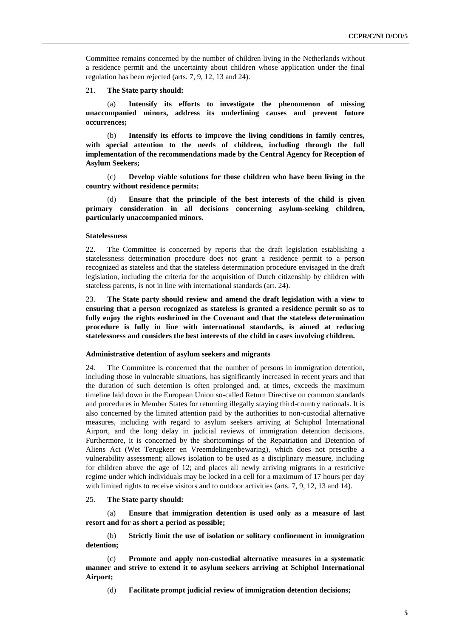Committee remains concerned by the number of children living in the Netherlands without a residence permit and the uncertainty about children whose application under the final regulation has been rejected (arts. 7, 9, 12, 13 and 24).

21. **The State party should:**

(a) **Intensify its efforts to investigate the phenomenon of missing unaccompanied minors, address its underlining causes and prevent future occurrences;**

Intensify its efforts to improve the living conditions in family centres, **with special attention to the needs of children, including through the full implementation of the recommendations made by the Central Agency for Reception of Asylum Seekers;**

(c) **Develop viable solutions for those children who have been living in the country without residence permits;**

Ensure that the principle of the best interests of the child is given **primary consideration in all decisions concerning asylum-seeking children, particularly unaccompanied minors.** 

#### **Statelessness**

22. The Committee is concerned by reports that the draft legislation establishing a statelessness determination procedure does not grant a residence permit to a person recognized as stateless and that the stateless determination procedure envisaged in the draft legislation, including the criteria for the acquisition of Dutch citizenship by children with stateless parents, is not in line with international standards (art. 24).

23. **The State party should review and amend the draft legislation with a view to ensuring that a person recognized as stateless is granted a residence permit so as to fully enjoy the rights enshrined in the Covenant and that the stateless determination procedure is fully in line with international standards, is aimed at reducing statelessness and considers the best interests of the child in cases involving children.**

## **Administrative detention of asylum seekers and migrants**

24. The Committee is concerned that the number of persons in immigration detention, including those in vulnerable situations, has significantly increased in recent years and that the duration of such detention is often prolonged and, at times, exceeds the maximum timeline laid down in the European Union so-called Return Directive on common standards and procedures in Member States for returning illegally staying third-country nationals. It is also concerned by the limited attention paid by the authorities to non-custodial alternative measures, including with regard to asylum seekers arriving at Schiphol International Airport, and the long delay in judicial reviews of immigration detention decisions. Furthermore, it is concerned by the shortcomings of the Repatriation and Detention of Aliens Act (Wet Terugkeer en Vreemdelingenbewaring), which does not prescribe a vulnerability assessment; allows isolation to be used as a disciplinary measure, including for children above the age of 12; and places all newly arriving migrants in a restrictive regime under which individuals may be locked in a cell for a maximum of 17 hours per day with limited rights to receive visitors and to outdoor activities (arts. 7, 9, 12, 13 and 14).

### 25. **The State party should:**

(a) **Ensure that immigration detention is used only as a measure of last resort and for as short a period as possible;**

(b) **Strictly limit the use of isolation or solitary confinement in immigration detention;**

(c) **Promote and apply non-custodial alternative measures in a systematic manner and strive to extend it to asylum seekers arriving at Schiphol International Airport;**

(d) **Facilitate prompt judicial review of immigration detention decisions;**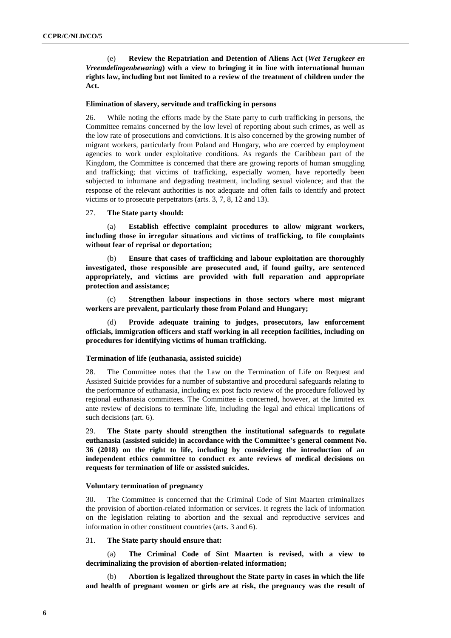(e) **Review the Repatriation and Detention of Aliens Act (***Wet Terugkeer en Vreemdelingenbewaring***) with a view to bringing it in line with international human rights law, including but not limited to a review of the treatment of children under the Act.**

#### **Elimination of slavery, servitude and trafficking in persons**

26. While noting the efforts made by the State party to curb trafficking in persons, the Committee remains concerned by the low level of reporting about such crimes, as well as the low rate of prosecutions and convictions. It is also concerned by the growing number of migrant workers, particularly from Poland and Hungary, who are coerced by employment agencies to work under exploitative conditions. As regards the Caribbean part of the Kingdom, the Committee is concerned that there are growing reports of human smuggling and trafficking; that victims of trafficking, especially women, have reportedly been subjected to inhumane and degrading treatment, including sexual violence; and that the response of the relevant authorities is not adequate and often fails to identify and protect victims or to prosecute perpetrators (arts. 3, 7, 8, 12 and 13).

## 27. **The State party should:**

(a) **Establish effective complaint procedures to allow migrant workers, including those in irregular situations and victims of trafficking, to file complaints without fear of reprisal or deportation;** 

(b) **Ensure that cases of trafficking and labour exploitation are thoroughly investigated, those responsible are prosecuted and, if found guilty, are sentenced appropriately, and victims are provided with full reparation and appropriate protection and assistance;**

(c) **Strengthen labour inspections in those sectors where most migrant workers are prevalent, particularly those from Poland and Hungary;**

(d) **Provide adequate training to judges, prosecutors, law enforcement officials, immigration officers and staff working in all reception facilities, including on procedures for identifying victims of human trafficking.**

#### **Termination of life (euthanasia, assisted suicide)**

28. The Committee notes that the Law on the Termination of Life on Request and Assisted Suicide provides for a number of substantive and procedural safeguards relating to the performance of euthanasia, including ex post facto review of the procedure followed by regional euthanasia committees. The Committee is concerned, however, at the limited ex ante review of decisions to terminate life, including the legal and ethical implications of such decisions (art. 6).

29. **The State party should strengthen the institutional safeguards to regulate euthanasia (assisted suicide) in accordance with the Committee's general comment No. 36 (2018) on the right to life, including by considering the introduction of an independent ethics committee to conduct ex ante reviews of medical decisions on requests for termination of life or assisted suicides.**

#### **Voluntary termination of pregnancy**

30. The Committee is concerned that the Criminal Code of Sint Maarten criminalizes the provision of abortion-related information or services. It regrets the lack of information on the legislation relating to abortion and the sexual and reproductive services and information in other constituent countries (arts. 3 and 6).

#### 31. **The State party should ensure that:**

(a) **The Criminal Code of Sint Maarten is revised, with a view to decriminalizing the provision of abortion-related information;** 

(b) **Abortion is legalized throughout the State party in cases in which the life and health of pregnant women or girls are at risk, the pregnancy was the result of**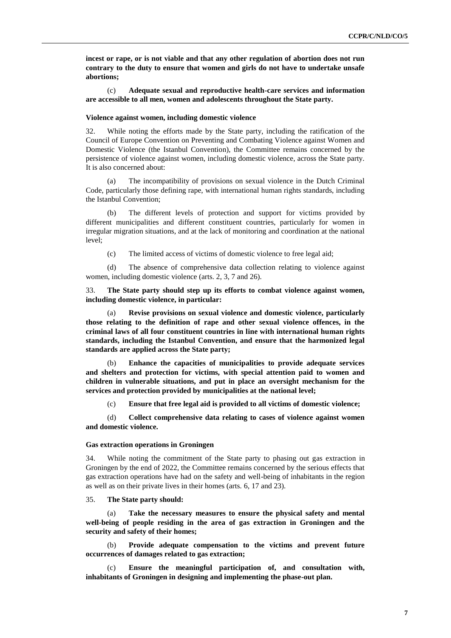**incest or rape, or is not viable and that any other regulation of abortion does not run contrary to the duty to ensure that women and girls do not have to undertake unsafe abortions;**

(c) **Adequate sexual and reproductive health-care services and information are accessible to all men, women and adolescents throughout the State party.**

#### **Violence against women, including domestic violence**

32. While noting the efforts made by the State party, including the ratification of the Council of Europe Convention on Preventing and Combating Violence against Women and Domestic Violence (the Istanbul Convention), the Committee remains concerned by the persistence of violence against women, including domestic violence, across the State party. It is also concerned about:

(a) The incompatibility of provisions on sexual violence in the Dutch Criminal Code, particularly those defining rape, with international human rights standards, including the Istanbul Convention;

(b) The different levels of protection and support for victims provided by different municipalities and different constituent countries, particularly for women in irregular migration situations, and at the lack of monitoring and coordination at the national level;

(c) The limited access of victims of domestic violence to free legal aid;

(d) The absence of comprehensive data collection relating to violence against women, including domestic violence (arts. 2, 3, 7 and 26).

33. **The State party should step up its efforts to combat violence against women, including domestic violence, in particular:**

(a) **Revise provisions on sexual violence and domestic violence, particularly those relating to the definition of rape and other sexual violence offences, in the criminal laws of all four constituent countries in line with international human rights standards, including the Istanbul Convention, and ensure that the harmonized legal standards are applied across the State party;**

(b) **Enhance the capacities of municipalities to provide adequate services and shelters and protection for victims, with special attention paid to women and children in vulnerable situations, and put in place an oversight mechanism for the services and protection provided by municipalities at the national level;**

(c) **Ensure that free legal aid is provided to all victims of domestic violence;**

(d) **Collect comprehensive data relating to cases of violence against women and domestic violence.**

#### **Gas extraction operations in Groningen**

34. While noting the commitment of the State party to phasing out gas extraction in Groningen by the end of 2022, the Committee remains concerned by the serious effects that gas extraction operations have had on the safety and well-being of inhabitants in the region as well as on their private lives in their homes (arts. 6, 17 and 23).

#### 35. **The State party should:**

(a) **Take the necessary measures to ensure the physical safety and mental well-being of people residing in the area of gas extraction in Groningen and the security and safety of their homes;** 

(b) **Provide adequate compensation to the victims and prevent future occurrences of damages related to gas extraction;** 

(c) **Ensure the meaningful participation of, and consultation with, inhabitants of Groningen in designing and implementing the phase-out plan.**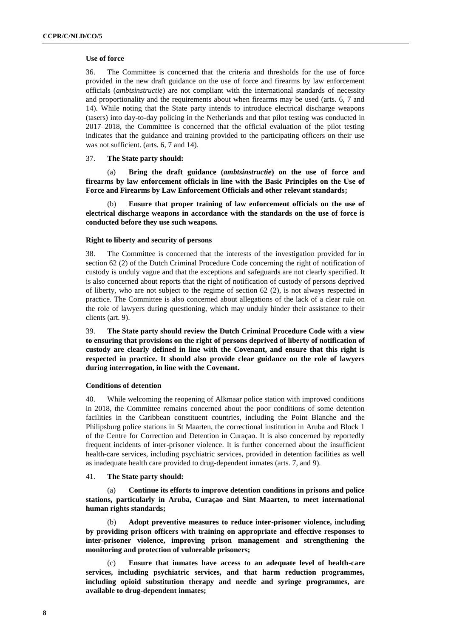#### **Use of force**

36. The Committee is concerned that the criteria and thresholds for the use of force provided in the new draft guidance on the use of force and firearms by law enforcement officials (*ambtsinstructie*) are not compliant with the international standards of necessity and proportionality and the requirements about when firearms may be used (arts. 6, 7 and 14). While noting that the State party intends to introduce electrical discharge weapons (tasers) into day-to-day policing in the Netherlands and that pilot testing was conducted in 2017–2018, the Committee is concerned that the official evaluation of the pilot testing indicates that the guidance and training provided to the participating officers on their use was not sufficient. (arts. 6, 7 and 14).

#### 37. **The State party should:**

(a) **Bring the draft guidance (***ambtsinstructie***) on the use of force and firearms by law enforcement officials in line with the Basic Principles on the Use of Force and Firearms by Law Enforcement Officials and other relevant standards;** 

Ensure that proper training of law enforcement officials on the use of **electrical discharge weapons in accordance with the standards on the use of force is conducted before they use such weapons.**

#### **Right to liberty and security of persons**

38. The Committee is concerned that the interests of the investigation provided for in section 62 (2) of the Dutch Criminal Procedure Code concerning the right of notification of custody is unduly vague and that the exceptions and safeguards are not clearly specified. It is also concerned about reports that the right of notification of custody of persons deprived of liberty, who are not subject to the regime of section 62 (2), is not always respected in practice. The Committee is also concerned about allegations of the lack of a clear rule on the role of lawyers during questioning, which may unduly hinder their assistance to their clients (art. 9).

39. **The State party should review the Dutch Criminal Procedure Code with a view to ensuring that provisions on the right of persons deprived of liberty of notification of custody are clearly defined in line with the Covenant, and ensure that this right is respected in practice. It should also provide clear guidance on the role of lawyers during interrogation, in line with the Covenant.**

### **Conditions of detention**

40. While welcoming the reopening of Alkmaar police station with improved conditions in 2018, the Committee remains concerned about the poor conditions of some detention facilities in the Caribbean constituent countries, including the Point Blanche and the Philipsburg police stations in St Maarten, the correctional institution in Aruba and Block 1 of the Centre for Correction and Detention in Curaçao. It is also concerned by reportedly frequent incidents of inter-prisoner violence. It is further concerned about the insufficient health-care services, including psychiatric services, provided in detention facilities as well as inadequate health care provided to drug-dependent inmates (arts. 7, and 9).

#### 41. **The State party should:**

Continue its efforts to improve detention conditions in prisons and police **stations, particularly in Aruba, Curaçao and Sint Maarten, to meet international human rights standards;**

(b) **Adopt preventive measures to reduce inter-prisoner violence, including by providing prison officers with training on appropriate and effective responses to inter-prisoner violence, improving prison management and strengthening the monitoring and protection of vulnerable prisoners;**

(c) **Ensure that inmates have access to an adequate level of health-care services, including psychiatric services, and that harm reduction programmes, including opioid substitution therapy and needle and syringe programmes, are available to drug-dependent inmates;**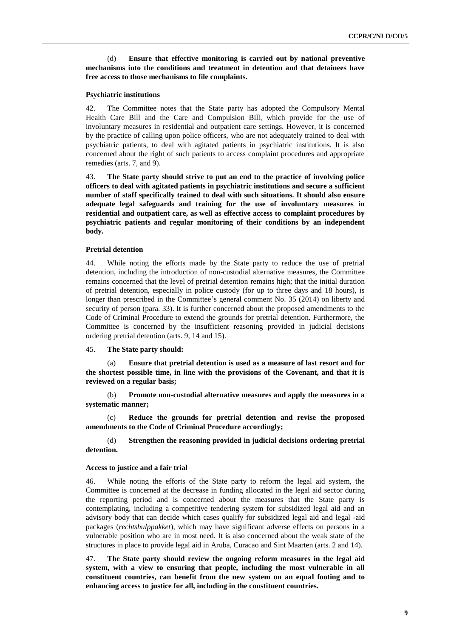(d) **Ensure that effective monitoring is carried out by national preventive mechanisms into the conditions and treatment in detention and that detainees have free access to those mechanisms to file complaints.**

#### **Psychiatric institutions**

42. The Committee notes that the State party has adopted the Compulsory Mental Health Care Bill and the Care and Compulsion Bill, which provide for the use of involuntary measures in residential and outpatient care settings. However, it is concerned by the practice of calling upon police officers, who are not adequately trained to deal with psychiatric patients, to deal with agitated patients in psychiatric institutions. It is also concerned about the right of such patients to access complaint procedures and appropriate remedies (arts. 7, and 9).

43. **The State party should strive to put an end to the practice of involving police officers to deal with agitated patients in psychiatric institutions and secure a sufficient number of staff specifically trained to deal with such situations. It should also ensure adequate legal safeguards and training for the use of involuntary measures in residential and outpatient care, as well as effective access to complaint procedures by psychiatric patients and regular monitoring of their conditions by an independent body.**

#### **Pretrial detention**

44. While noting the efforts made by the State party to reduce the use of pretrial detention, including the introduction of non-custodial alternative measures, the Committee remains concerned that the level of pretrial detention remains high; that the initial duration of pretrial detention, especially in police custody (for up to three days and 18 hours), is longer than prescribed in the Committee's general comment No. 35 (2014) on liberty and security of person (para. 33). It is further concerned about the proposed amendments to the Code of Criminal Procedure to extend the grounds for pretrial detention. Furthermore, the Committee is concerned by the insufficient reasoning provided in judicial decisions ordering pretrial detention (arts. 9, 14 and 15).

### 45. **The State party should:**

(a) **Ensure that pretrial detention is used as a measure of last resort and for the shortest possible time, in line with the provisions of the Covenant, and that it is reviewed on a regular basis;**

(b) **Promote non-custodial alternative measures and apply the measures in a systematic manner;**

(c) **Reduce the grounds for pretrial detention and revise the proposed amendments to the Code of Criminal Procedure accordingly;**

(d) **Strengthen the reasoning provided in judicial decisions ordering pretrial detention.**

#### **Access to justice and a fair trial**

46. While noting the efforts of the State party to reform the legal aid system, the Committee is concerned at the decrease in funding allocated in the legal aid sector during the reporting period and is concerned about the measures that the State party is contemplating, including a competitive tendering system for subsidized legal aid and an advisory body that can decide which cases qualify for subsidized legal aid and legal -aid packages (*rechtshulppakket*), which may have significant adverse effects on persons in a vulnerable position who are in most need. It is also concerned about the weak state of the structures in place to provide legal aid in Aruba, Curacao and Sint Maarten (arts. 2 and 14).

47. **The State party should review the ongoing reform measures in the legal aid system, with a view to ensuring that people, including the most vulnerable in all constituent countries, can benefit from the new system on an equal footing and to enhancing access to justice for all, including in the constituent countries.**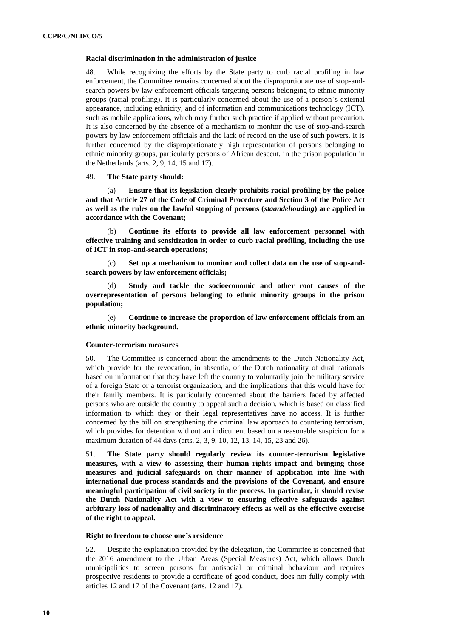#### **Racial discrimination in the administration of justice**

48. While recognizing the efforts by the State party to curb racial profiling in law enforcement, the Committee remains concerned about the disproportionate use of stop-andsearch powers by law enforcement officials targeting persons belonging to ethnic minority groups (racial profiling). It is particularly concerned about the use of a person's external appearance, including ethnicity, and of information and communications technology (ICT), such as mobile applications, which may further such practice if applied without precaution. It is also concerned by the absence of a mechanism to monitor the use of stop-and-search powers by law enforcement officials and the lack of record on the use of such powers. It is further concerned by the disproportionately high representation of persons belonging to ethnic minority groups, particularly persons of African descent, in the prison population in the Netherlands (arts. 2, 9, 14, 15 and 17).

### 49. **The State party should:**

(a) **Ensure that its legislation clearly prohibits racial profiling by the police and that Article 27 of the Code of Criminal Procedure and Section 3 of the Police Act as well as the rules on the lawful stopping of persons (***staandehouding***) are applied in accordance with the Covenant;**

(b) **Continue its efforts to provide all law enforcement personnel with effective training and sensitization in order to curb racial profiling, including the use of ICT in stop-and-search operations;** 

(c) **Set up a mechanism to monitor and collect data on the use of stop-andsearch powers by law enforcement officials;** 

(d) **Study and tackle the socioeconomic and other root causes of the overrepresentation of persons belonging to ethnic minority groups in the prison population;**

(e) **Continue to increase the proportion of law enforcement officials from an ethnic minority background.**

#### **Counter-terrorism measures**

50. The Committee is concerned about the amendments to the Dutch Nationality Act, which provide for the revocation, in absentia, of the Dutch nationality of dual nationals based on information that they have left the country to voluntarily join the military service of a foreign State or a terrorist organization, and the implications that this would have for their family members. It is particularly concerned about the barriers faced by affected persons who are outside the country to appeal such a decision, which is based on classified information to which they or their legal representatives have no access. It is further concerned by the bill on strengthening the criminal law approach to countering terrorism, which provides for detention without an indictment based on a reasonable suspicion for a maximum duration of 44 days (arts. 2, 3, 9, 10, 12, 13, 14, 15, 23 and 26).

51. **The State party should regularly review its counter-terrorism legislative measures, with a view to assessing their human rights impact and bringing those measures and judicial safeguards on their manner of application into line with international due process standards and the provisions of the Covenant, and ensure meaningful participation of civil society in the process. In particular, it should revise the Dutch Nationality Act with a view to ensuring effective safeguards against arbitrary loss of nationality and discriminatory effects as well as the effective exercise of the right to appeal.** 

## **Right to freedom to choose one's residence**

52. Despite the explanation provided by the delegation, the Committee is concerned that the 2016 amendment to the Urban Areas (Special Measures) Act, which allows Dutch municipalities to screen persons for antisocial or criminal behaviour and requires prospective residents to provide a certificate of good conduct, does not fully comply with articles 12 and 17 of the Covenant (arts. 12 and 17).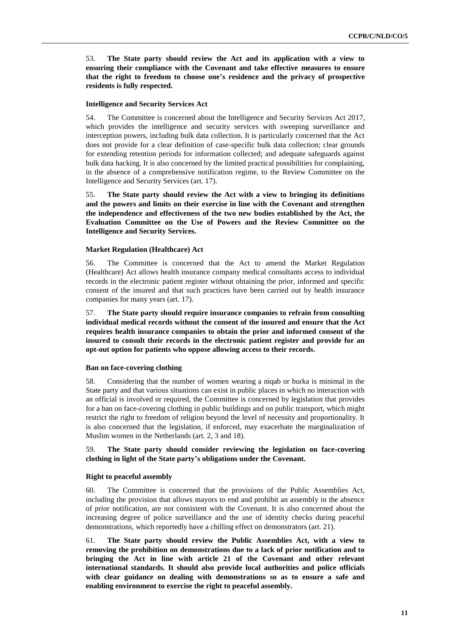53. **The State party should review the Act and its application with a view to ensuring their compliance with the Covenant and take effective measures to ensure that the right to freedom to choose one's residence and the privacy of prospective residents is fully respected.** 

## **Intelligence and Security Services Act**

54. The Committee is concerned about the Intelligence and Security Services Act 2017, which provides the intelligence and security services with sweeping surveillance and interception powers, including bulk data collection. It is particularly concerned that the Act does not provide for a clear definition of case-specific bulk data collection; clear grounds for extending retention periods for information collected; and adequate safeguards against bulk data hacking. It is also concerned by the limited practical possibilities for complaining, in the absence of a comprehensive notification regime, to the Review Committee on the Intelligence and Security Services (art. 17).

55. **The State party should review the Act with a view to bringing its definitions and the powers and limits on their exercise in line with the Covenant and strengthen the independence and effectiveness of the two new bodies established by the Act, the Evaluation Committee on the Use of Powers and the Review Committee on the Intelligence and Security Services.**

## **Market Regulation (Healthcare) Act**

56. The Committee is concerned that the Act to amend the Market Regulation (Healthcare) Act allows health insurance company medical consultants access to individual records in the electronic patient register without obtaining the prior, informed and specific consent of the insured and that such practices have been carried out by health insurance companies for many years (art. 17).

57. **The State party should require insurance companies to refrain from consulting individual medical records without the consent of the insured and ensure that the Act requires health insurance companies to obtain the prior and informed consent of the insured to consult their records in the electronic patient register and provide for an opt-out option for patients who oppose allowing access to their records.**

## **Ban on face-covering clothing**

58. Considering that the number of women wearing a niqab or burka is minimal in the State party and that various situations can exist in public places in which no interaction with an official is involved or required, the Committee is concerned by legislation that provides for a ban on face-covering clothing in public buildings and on public transport, which might restrict the right to freedom of religion beyond the level of necessity and proportionality. It is also concerned that the legislation, if enforced, may exacerbate the marginalization of Muslim women in the Netherlands (art. 2, 3 and 18).

## 59. **The State party should consider reviewing the legislation on face-covering clothing in light of the State party's obligations under the Covenant.**

### **Right to peaceful assembly**

60. The Committee is concerned that the provisions of the Public Assemblies Act, including the provision that allows mayors to end and prohibit an assembly in the absence of prior notification, are not consistent with the Covenant. It is also concerned about the increasing degree of police surveillance and the use of identity checks during peaceful demonstrations, which reportedly have a chilling effect on demonstrators (art. 21).

61. **The State party should review the Public Assemblies Act, with a view to removing the prohibition on demonstrations due to a lack of prior notification and to bringing the Act in line with article 21 of the Covenant and other relevant international standards. It should also provide local authorities and police officials with clear guidance on dealing with demonstrations so as to ensure a safe and enabling environment to exercise the right to peaceful assembly.**